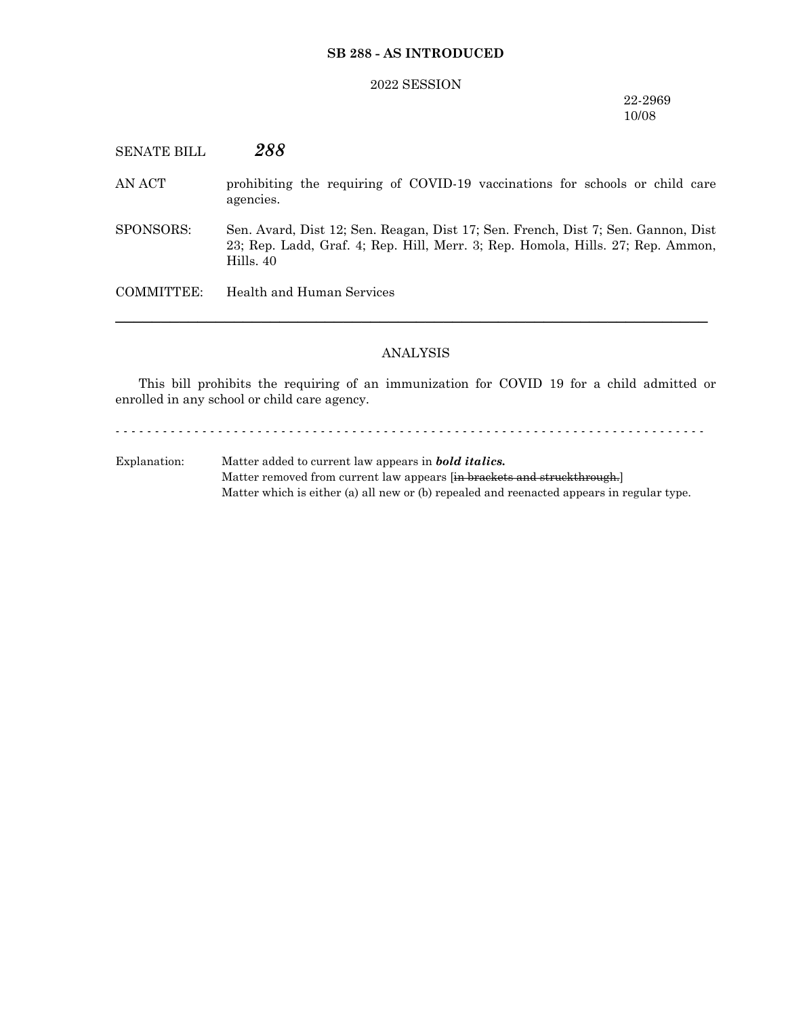### **SB 288 - AS INTRODUCED**

#### 2022 SESSION

### 22-2969 10/08

SENATE BILL *288* AN ACT prohibiting the requiring of COVID-19 vaccinations for schools or child care agencies.

SPONSORS: Sen. Avard, Dist 12; Sen. Reagan, Dist 17; Sen. French, Dist 7; Sen. Gannon, Dist 23; Rep. Ladd, Graf. 4; Rep. Hill, Merr. 3; Rep. Homola, Hills. 27; Rep. Ammon, Hills. 40

COMMITTEE: Health and Human Services

### ANALYSIS

─────────────────────────────────────────────────────────────────

This bill prohibits the requiring of an immunization for COVID 19 for a child admitted or enrolled in any school or child care agency.

- - - - - - - - - - - - - - - - - - - - - - - - - - - - - - - - - - - - - - - - - - - - - - - - - - - - - - - - - - - - - - - - - - - - - - - - - - -

Explanation: Matter added to current law appears in *bold italics.* Matter removed from current law appears [in brackets and struckthrough.] Matter which is either (a) all new or (b) repealed and reenacted appears in regular type.